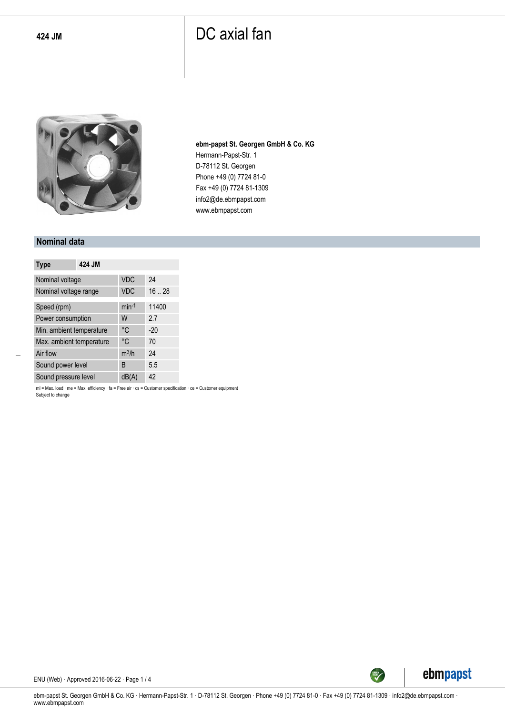

**ebm-papst St. Georgen GmbH & Co. KG** Hermann-Papst-Str. 1 D-78112 St. Georgen Phone +49 (0) 7724 81-0 Fax +49 (0) 7724 81-1309 info2@de.ebmpapst.com www.ebmpapst.com

#### **Nominal data**

| <b>Type</b>              | 424 JM |            |       |
|--------------------------|--------|------------|-------|
| Nominal voltage          |        | <b>VDC</b> | 24    |
| Nominal voltage range    |        | <b>VDC</b> | 16.28 |
| Speed (rpm)              |        | $min-1$    | 11400 |
| Power consumption        |        | W          | 2.7   |
| Min. ambient temperature |        | °C         | $-20$ |
| Max. ambient temperature |        | °C         | 70    |
| Air flow                 |        | $m^3/h$    | 24    |
| Sound power level        |        | B          | 5.5   |
| Sound pressure level     |        | dB(A)      | 42    |

ml = Max. load · me = Max. efficiency · fa = Free air · cs = Customer specification · ce = Customer equipment Subject to change



ENU (Web) · Approved 2016-06-22 · Page 1 / 4

ebm-papst St. Georgen GmbH & Co. KG · Hermann-Papst-Str. 1 · D-78112 St. Georgen · Phone +49 (0) 7724 81-0 · Fax +49 (0) 7724 81-1309 · info2@de.ebmpapst.com · www.ebmpapst.com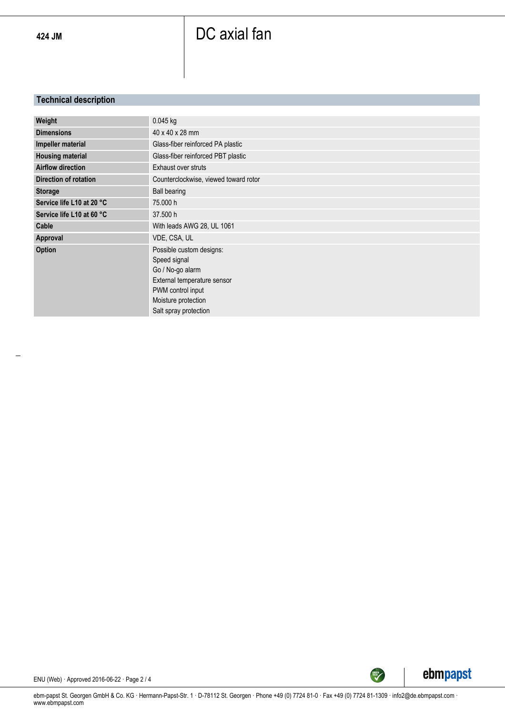### **Technical description**

| Weight                       | 0.045 kg                                                                                                                                                         |
|------------------------------|------------------------------------------------------------------------------------------------------------------------------------------------------------------|
| <b>Dimensions</b>            | 40 x 40 x 28 mm                                                                                                                                                  |
| Impeller material            | Glass-fiber reinforced PA plastic                                                                                                                                |
| <b>Housing material</b>      | Glass-fiber reinforced PBT plastic                                                                                                                               |
| <b>Airflow direction</b>     | Exhaust over struts                                                                                                                                              |
| <b>Direction of rotation</b> | Counterclockwise, viewed toward rotor                                                                                                                            |
| <b>Storage</b>               | Ball bearing                                                                                                                                                     |
| Service life L10 at 20 °C    | 75,000 h                                                                                                                                                         |
| Service life L10 at 60 °C    | 37,500 h                                                                                                                                                         |
| Cable                        | With leads AWG 28, UL 1061                                                                                                                                       |
| Approval                     | VDE, CSA, UL                                                                                                                                                     |
| Option                       | Possible custom designs:<br>Speed signal<br>Go / No-go alarm<br>External temperature sensor<br>PWM control input<br>Moisture protection<br>Salt spray protection |



ENU (Web) · Approved 2016-06-22 · Page 2 / 4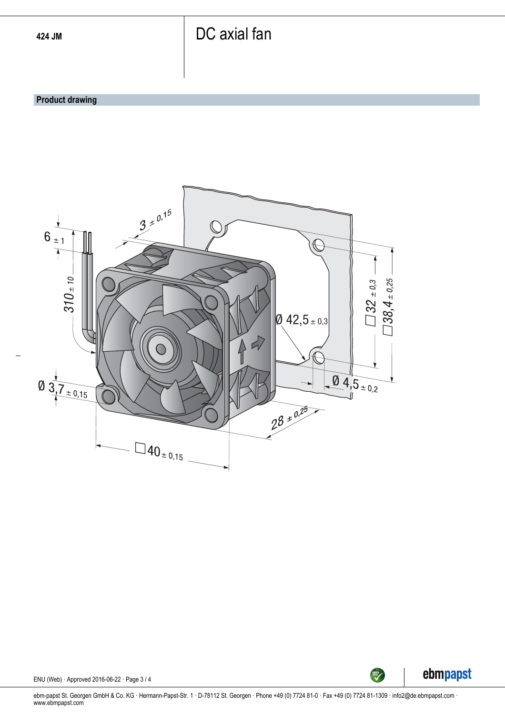#### **Product drawing**





ENU (Web) · Approved 2016-06-22 · Page 3 / 4

ebm-papst St. Georgen GmbH & Co. KG · Hermann-Papst-Str. 1 · D-78112 St. Georgen · Phone +49 (0) 7724 81-0 · Fax +49 (0) 7724 81-1309 · info2@de.ebmpapst.com · www.ebmpapst.com